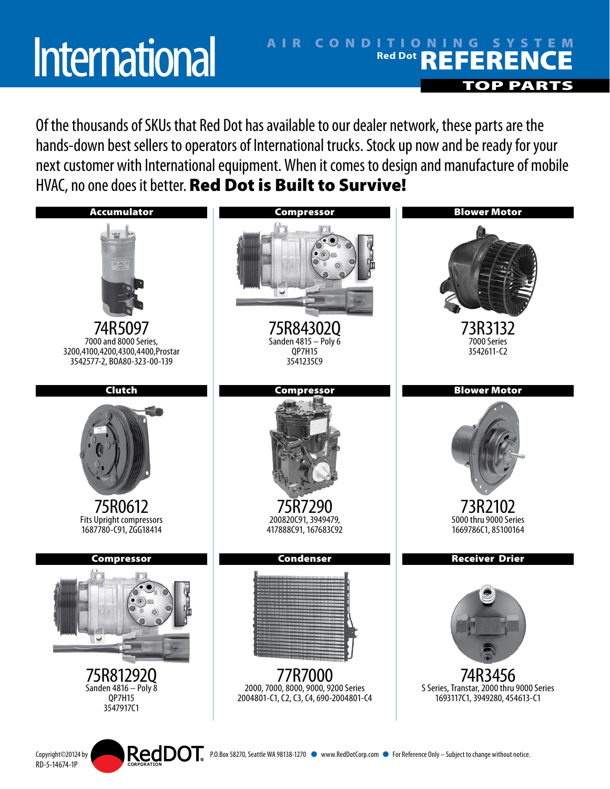## **International**

## AIR CONDITIONING SYSTEM Red Dot **REFERENCE** TOP PARTS

Of the thousands of SKUs that Red Dot has available to our dealer network, these parts are the hands-down best sellers to operators of International trucks. Stock up now and be ready for your next customer with International equipment. When it comes to design and manufacture of mobile HVAC, no one does it better. Red Dot is Built to Survive!



RD-5-14674-1P